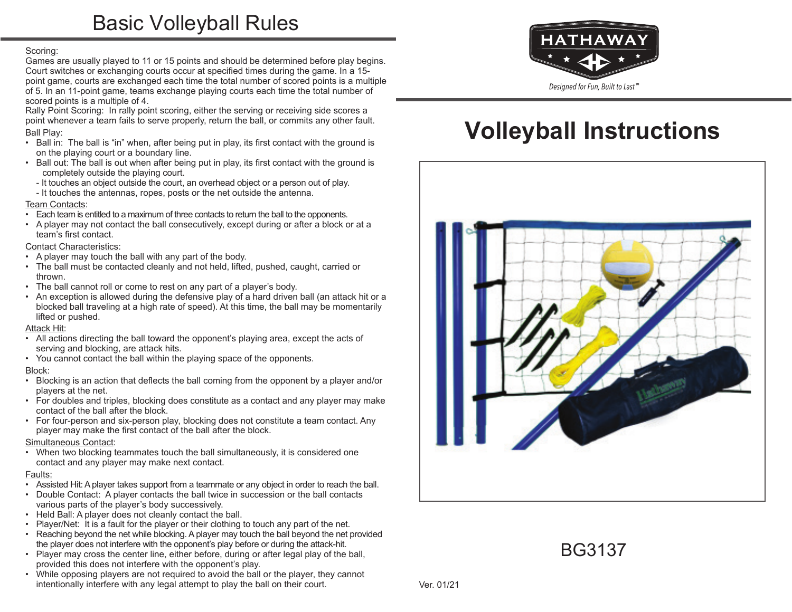# Basic Volleyball Rules

#### Scoring:

Games are usually played to 11 or 15 points and should be determined before play begins. Court switches or exchanging courts occur at specified times during the game. In a 15 point game, courts are exchanged each time the total number of scored points is a multiple of 5. In an 11-point game, teams exchange playing courts each time the total number of scored points is a multiple of 4.

Rally Point Scoring: In rally point scoring, either the serving or receiving side scores a point whenever a team fails to serve properly, return the ball, or commits any other fault. Ball Play:

- Ball in: The ball is "in" when, after being put in play, its first contact with the ground is on the playing court or a boundary line.
- Ball out: The ball is out when after being put in play, its first contact with the ground is completely outside the playing court.
	- It touches an object outside the court, an overhead object or a person out of play.
	- It touches the antennas, ropes, posts or the net outside the antenna.

#### Team Contacts:

- Each team is entitled to a maximum of three contacts to return the ball to the opponents.
- A player may not contact the ball consecutively, except during or after a block or at a team's first contact.

Contact Characteristics:

- A player may touch the ball with any part of the body.
- The ball must be contacted cleanly and not held, lifted, pushed, caught, carried or thrown.
- The ball cannot roll or come to rest on any part of a player's body.
- An exception is allowed during the defensive play of a hard driven ball (an attack hit or a blocked ball traveling at a high rate of speed). At this time, the ball may be momentarily lifted or pushed.

#### Attack Hit:

- All actions directing the ball toward the opponent's playing area, except the acts of serving and blocking, are attack hits.
- You cannot contact the ball within the playing space of the opponents.

#### Block:

- Blocking is an action that deflects the ball coming from the opponent by a player and/or players at the net.
- For doubles and triples, blocking does constitute as a contact and any player may make contact of the ball after the block.
- For four-person and six-person play, blocking does not constitute a team contact. Any player may make the first contact of the ball after the block.

#### Simultaneous Contact:

• When two blocking teammates touch the ball simultaneously, it is considered one contact and any player may make next contact.

#### Faults:

- Assisted Hit:Aplayer takes support from a teammate or any object in order to reach the ball.
- Double Contact: A player contacts the ball twice in succession or the ball contacts various parts of the player's body successively.
- Held Ball: A player does not cleanly contact the ball.
- Player/Net: It is a fault for the player or their clothing to touch any part of the net.
- Reaching beyond the net while blocking. A player may touch the ball beyond the net provided the player does not interfere with the opponent's play before or during the attack-hit.
- Player may cross the center line, either before, during or after legal play of the ball, provided this does not interfere with the opponent's play.
- While opposing players are not required to avoid the ball or the player, they cannot intentionally interfere with any legal attempt to play the ball on their court.





## BG3137